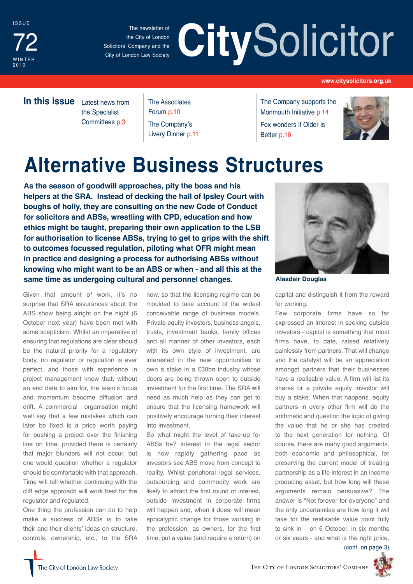

The newsletter of the City of London Solicitors' Company and the City of London Law Society

# The newsletter of the City of London<br>
Solicitors' Company and the City of London Law Society

#### **www.citysolicitors.org.uk**

**In this issue** Latest news from

the Specialist Committees p.3

The Associates Forum p.10

The Company's Livery Dinner p.11 The Company supports the Monmouth Initiative p.14 Fox wonders if Older is Better p.16



## **Alternative Business Structures**

**As the season of goodwill approaches, pity the boss and his helpers at the SRA. Instead of decking the hall of Ipsley Court with boughs of holly, they are consulting on the new Code of Conduct for solicitors and ABSs, wrestling with CPD, education and how ethics might be taught, preparing their own application to the LSB for authorisation to license ABSs, trying to get to grips with the shift to outcomes focussed regulation, piloting what OFR might mean in practice and designing a process for authorising ABSs without knowing who might want to be an ABS or when - and all this at the same time as undergoing cultural and personnel changes.** 

Given that amount of work, it's no surprise that SRA assurances about the ABS show being alright on the night (6 October next year) have been met with some scepticism. Whilst an imperative of ensuring that regulations are clear should be the natural priority for a regulatory body, no regulator or regulation is ever perfect, and those with experience in project management know that, without an end date to aim for, the team's focus and momentum become diffusion and drift. A commercial organisation might well say that a few mistakes which can later be fixed is a price worth paying for pushing a project over the finishing line on time, provided there is certainty that major blunders will not occur, but one would question whether a regulator should be comfortable with that approach. Time will tell whether continuing with the cliff edge approach will work best for the regulator and regulated.

One thing the profession can do to help make a success of ABSs is to take their and their clients' ideas on structure, controls, ownership, etc., to the SRA now, so that the licensing regime can be moulded to take account of the widest conceivable range of business models. Private equity investors, business angels, trusts, investment banks, family offices and all manner of other investors, each with its own style of investment, are interested in the new opportunities to own a stake in a £30bn industry whose doors are being thrown open to outside investment for the first time. The SRA will need as much help as they can get to ensure that the licensing framework will positively encourage turning their interest into investment.

So what might the level of take-up for ABSs be? Interest in the legal sector is now rapidly gathering pace as investors see ABS move from concept to reality. Whilst peripheral legal services, outsourcing and commodity work are likely to attract the first round of interest, outside investment in corporate firms will happen and, when it does, will mean apocalyptic change for those working in the profession, as owners, for the first time, put a value (and require a return) on



**Alasdair Douglas**

capital and distinguish it from the reward for working.

Few corporate firms have so far expressed an interest in seeking outside investors - capital is something that most firms have, to date, raised relatively painlessly from partners. That will change and the catalyst will be an appreciation amongst partners that their businesses have a realisable value. A firm will list its shares or a private equity investor will buy a stake. When that happens, equity partners in every other firm will do the arithmetic and question the logic of giving the value that he or she has created to the next generation for nothing. Of course, there are many good arguments, both economic and philosophical, for preserving the current model of treating partnership as a life interest in an income producing asset, but how long will these arguments remain persuasive? The answer is "Not forever for everyone" and the only uncertainties are how long it will take for the realisable value point fully to sink in – on 6 October, in six months or six years - and what is the right price,

(cont. on page 3)

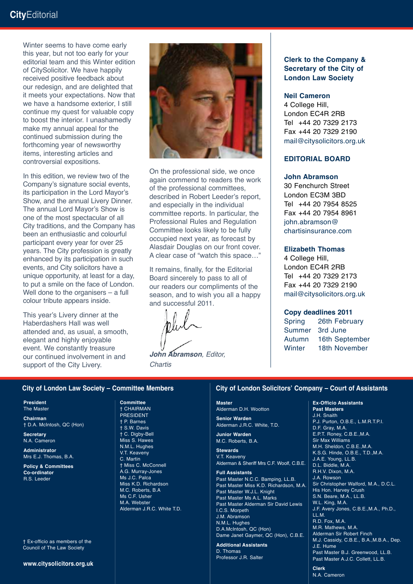#### **City**Editorial

Winter seems to have come early this year, but not too early for your editorial team and this Winter edition of CitySolicitor. We have happily received positive feedback about our redesign, and are delighted that it meets your expectations. Now that we have a handsome exterior, I still continue my quest for valuable copy to boost the interior. I unashamedly make my annual appeal for the continued submission during the forthcoming year of newsworthy items, interesting articles and controversial expositions.

In this edition, we review two of the Company's signature social events, its participation in the Lord Mayor's Show, and the annual Livery Dinner. The annual Lord Mayor's Show is one of the most spectacular of all City traditions, and the Company has been an enthusiastic and colourful participant every year for over 25 years. The City profession is greatly enhanced by its participation in such events, and City solicitors have a unique opportunity, at least for a day, to put a smile on the face of London. Well done to the organisers – a full colour tribute appears inside.

This year's Livery dinner at the Haberdashers Hall was well attended and, as usual, a smooth, elegant and highly enjoyable event. We constantly treasure our continued involvement in and support of the City Livery.



On the professional side, we once again commend to readers the work of the professional committees, described in Robert Leeder's report, and especially in the individual committee reports. In particular, the Professional Rules and Regulation Committee looks likely to be fully occupied next year, as forecast by Alasdair Douglas on our front cover. A clear case of "watch this space…"

It remains, finally, for the Editorial Board sincerely to pass to all of our readers our compliments of the season, and to wish you all a happy and successful 2011.

*John Abramson, Editor, Chartis*

#### **Clerk to the Company & Secretary of the City of London Law Society**

#### **Neil Cameron**

4 College Hill, London EC4R 2RB Tel +44 20 7329 2173 Fax +44 20 7329 2190 mail@citysolicitors.org.uk

#### **Editorial board**

#### **John Abramson**

30 Fenchurch Street London EC3M 3BD Tel +44 20 7954 8525 Fax +44 20 7954 8961 john.abramson@ chartisinsurance.com

#### **Elizabeth Thomas**

4 College Hill, London EC4R 2RB Tel +44 20 7329 2173 Fax +44 20 7329 2190 mail@citysolicitors.org.uk

#### **Copy deadlines 2011**

Spring 26th February Summer 3rd June Autumn 16th September Winter 18th November

#### **City of London Law Society – Committee Members**

**President** The Master

**Chairman** † D.A. McIntosh, QC (Hon)

**Secretary** N.A. Cameron

**Administrator** Mrs E.J. Thomas, B.A.

**Policy & Committees Co-ordinator** R.S. Leeder

† Ex-officio as members of the Council of The Law Society

**www.citysolicitors.org.uk**

**Committee** † CHAIRMAN PRESIDENT † P. Barnes † S.W. Davis † C. Digby-Bell Miss S. Hawes N.M.L. Hughes V.T. Keaveny C. Martin † Miss C. McConnell A.G. Murray-Jones Ms J.C. Palca Miss K.D. Richardson M.C. Roberts, B.A Ms C.F. Usher M.A. Webster Alderman J.R.C. White T.D.

#### **City of London Solicitors' Company – Court of Assistants**

**Master** Alderman D.H. Wootton

**Senior Warden** Alderman J.R.C. White, T.D.

**Junior Warden** M.C. Roberts, B.A.

**Stewards** V.T. Keaveny Alderman & Sheriff Mrs C.F. Woolf, C.B.E.

**Full Assistants** Past Master N.C.C. Bamping, LL.B. Past Master Miss K.D. Richardson, M.A.

Past Master W.J.L. Knight Past Master Ms A.L. Marks Past Master Alderman Sir David Lewis I.C.S. Morpeth J.M. Abramson N.M.L. Hughes D.A.McIntosh, QC (Hon) Dame Janet Gaymer, QC (Hon), C.B.E.

**Additional Assistants** D. Thomas Professor J.R. Salter

**Ex-Officio Assistants**

**Past Masters** J.H. Snaith P.J. Purton, O.B.E., L.M.R.T.P.I. D.F. Gray, M.A. E.P.T. Roney, C.B.E.,M.A. Sir Max Williams M.H. Sheldon, C.B.E.,M.A. K.S.G. Hinde, O.B.E., T.D.,M.A. J.A.E. Young, LL.B. D.L. Biddle, M.A. R.H.V. Dixon, M.A. J.A. Rowson Sir Christopher Walford, M.A., D.C.L. His Hon. Harvey Crush S.N. Beare, M.A., LL.B. W.L. King, M.A. J.F. Avery Jones, C.B.E.,M.A., Ph.D., LL.M. R.D. Fox, M.A. M.R. Mathews, M.A. Alderman Sir Robert Finch M.J. Cassidy, C.B.E., B.A.,M.B.A., Dep. J.E. Hume Past Master B.J. Greenwood, LL.B. Past Master A.J.C. Collett, LL.B.

**Clerk** N.A. Cameron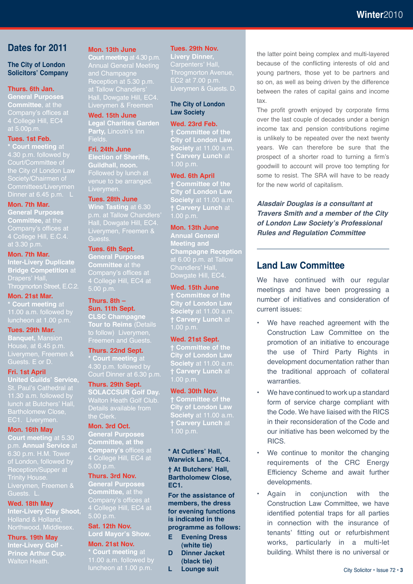#### **Dates for 2011**

#### **The City of London Solicitors' Company**

#### **Thurs. 6th Jan.**

**General Purposes Committee**, at the Company's offices at 4 College Hill, EC4 at 5.00p.m.

#### **Tues. 1st Feb.**

**\* Court meeting** at 4.30 p.m. followed by Court/Committee of the City of London Law Society/Chairmen of Committees/Liverymen Dinner at 6.45 p.m. L

#### **Mon. 7th Mar.**

**General Purposes Committee,** at the Company's offices at 4 College Hill, E.C.4. at 3.30 p.m.

#### **Mon. 7th Mar.**

**Inter-Livery Duplicate Bridge Competition** at Drapers' Hall, Throgmorton Street, E.C.2.

### **Mon. 21st Mar. \* Court meeting** at

**Tues. 29th Mar. Banquet,** Mansion House, at 6.45 p.m. Liverymen, Freemen & Guests. E or D.

#### **Fri. 1st April United Guilds' Service,**  St. Paul's Cathedral at 1.30 a.m. followed by lunch at Butchers' Hall,

Bartholomew Close, EC1. Liverymen. **Mon. 16th May**

**Court meeting** at 5.30 p.m. **Annual Service** at 6.30 p.m. H.M. Tower of London, followed by Reception/Supper at Trinity House. Liverymen, Freemen & Guests. L.

#### **Wed. 18th May Inter-Livery Clay Shoot,**  Holland & Holland, Northwood, Middlesex.

**Thurs. 19th May Inter-Livery Golf Prince Arthur Cup.**  Walton Heath.

#### **Mon. 13th June**

**Court meeting** at 4.30 p.m. Annual General Meeting and Champagne Reception at 5.30 p.m. at Tallow Chandlers' Hall, Dowgate Hill, EC4. Liverymen & Freemen

**Wed. 15th June**

**Legal Charities Garden Party,** Lincoln's Inn <del>. arty,</del><br>Fields

#### **Fri. 24th June Election of Sheriffs, Guildhall, noon.**  venue to be arranged. Liverymen.

**Tues. 28th June Wine Tasting** at 6.30 Hall, Dowgate Hill, EC4. Guests.

#### **Tues. 6th Sept. General Purposes Committee** at the Company's offices at College Hill, EC4 at

**Thurs. 8th – Sun. 11th Sept. CLSC Champagne** 

**Tour to Reims (Details** to follow) Liverymen, Freemen and Guests.

### **Thurs. 22nd Sept. \* Court meeting** at

**Thurs. 29th Sept. SOLACCSUR Golf Day.**  Walton Heath Golf Club. Details available from the Clerk.

#### **Mon. 3rd Oct. General Purposes**

**Committee, at the Company's** offices at 4 College Hill, EC4 at 5.00 p.m.

#### **Thurs. 3rd Nov.**

**General Purposes Committee,** at the 4 College Hill, EC4 at 5.00 p.m.

**Sat. 12th Nov. Lord Mayor's Show. Mon. 21st Nov.** 

**\* Court meeting** at 11.00 a.m. followed by luncheon at 1.00 p.m.

#### **Tues. 29th Nov.**

**Livery Dinner,**  Carpenters' Hall. Throgmorton Avenue, EC2 at 7.00 p.m. Liverymen & Guests. D.

#### **The City of London Law Society**

#### **Wed. 23rd Feb.**

**† Committee of the City of London Law Society** at 11.00 a.m. **† Carvery Lunch** at

#### **Wed. 6th April**

**† Committee of the City of London Law Society** at 11.00 a.m. **† Carvery Lunch** at

#### **Mon. 13th June**

**Annual General Meeting and Champagne Reception**  at 6.00 p.m. at Tallow Chandlers' Hall, Dowgate Hill, EC4.

#### **Wed. 15th June**

**† Committee of the City of London Law Society** at 11.00 a.m. **† Carvery Lunch** at 1.00 p.m.

#### **Wed. 21st Sept.**

**† Committee of the City of London Law Society** at 11.00 a.m. **† Carvery Lunch** at 1.00 p.m.

#### **Wed. 30th Nov.**

**† Committee of the City of London Law Society** at 11.00 a.m. **† Carvery Lunch** at 1.00 p.m.

#### **\* At Cutlers' Hall, Warwick Lane, EC4. † At Butchers' Hall, Bartholomew Close, EC1.**

**For the assistance of members, the dress for evening functions is indicated in the programme as follows:**

- **E Evening Dress (white tie)**
- **D Dinner Jacket (black tie)**
- **L Lounge suit**

the latter point being complex and multi-layered because of the conflicting interests of old and young partners, those yet to be partners and so on, as well as being driven by the difference between the rates of capital gains and income tax.

The profit growth enjoyed by corporate firms over the last couple of decades under a benign income tax and pension contributions regime is unlikely to be repeated over the next twenty years. We can therefore be sure that the prospect of a shorter road to turning a firm's goodwill to account will prove too tempting for some to resist. The SRA will have to be ready for the new world of capitalism.

*Alasdair Douglas is a consultant at Travers Smith and a member of the City of London Law Society's Professional Rules and Regulation Committee*

#### **Land Law Committee**

We have continued with our regular meetings and have been progressing a number of initiatives and consideration of current issues:

- We have reached agreement with the Construction Law Committee on the promotion of an initiative to encourage the use of Third Party Rights in development documentation rather than the traditional approach of collateral warranties.
- We have continued to work up a standard form of service charge compliant with the Code. We have liaised with the RICS in their reconsideration of the Code and our initiative has been welcomed by the RICS.
- We continue to monitor the changing requirements of the CRC Energy Efficiency Scheme and await further developments.
- Again in conjunction with the Construction Law Committee, we have identified potential traps for all parties in connection with the insurance of tenants' fitting out or refurbishment works, particularly in a multi-let building. Whilst there is no universal or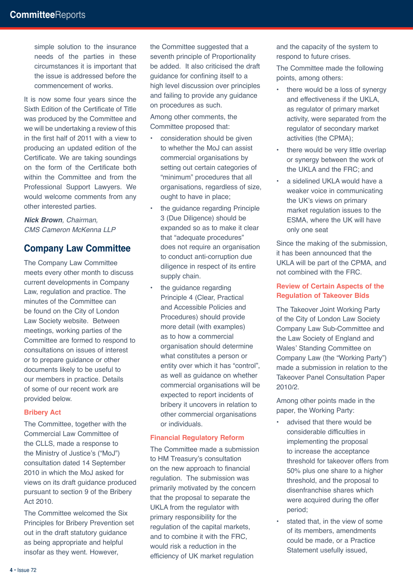simple solution to the insurance needs of the parties in these circumstances it is important that the issue is addressed before the commencement of works.

It is now some four years since the Sixth Edition of the Certificate of Title was produced by the Committee and we will be undertaking a review of this in the first half of 2011 with a view to producing an updated edition of the Certificate. We are taking soundings on the form of the Certificate both within the Committee and from the Professional Support Lawyers. We would welcome comments from any other interested parties.

*Nick Brown, Chairman, CMS Cameron McKenna LLP*

#### **Company Law Committee**

The Company Law Committee meets every other month to discuss current developments in Company Law, regulation and practice. The minutes of the Committee can be found on the City of London Law Society website. Between meetings, working parties of the Committee are formed to respond to consultations on issues of interest or to prepare guidance or other documents likely to be useful to our members in practice. Details of some of our recent work are provided below.

#### **Bribery Act**

The Committee, together with the Commercial Law Committee of the CLLS, made a response to the Ministry of Justice's ("MoJ") consultation dated 14 September 2010 in which the MoJ asked for views on its draft guidance produced pursuant to section 9 of the Bribery Act 2010.

The Committee welcomed the Six Principles for Bribery Prevention set out in the draft statutory guidance as being appropriate and helpful insofar as they went. However,

the Committee suggested that a seventh principle of Proportionality be added. It also criticised the draft guidance for confining itself to a high level discussion over principles and failing to provide any guidance on procedures as such.

Among other comments, the Committee proposed that:

- consideration should be given to whether the MoJ can assist commercial organisations by setting out certain categories of "minimum" procedures that all organisations, regardless of size, ought to have in place;
- the quidance regarding Principle 3 (Due Diligence) should be expanded so as to make it clear that "adequate procedures" does not require an organisation to conduct anti-corruption due diligence in respect of its entire supply chain.
- the quidance regarding Principle 4 (Clear, Practical and Accessible Policies and Procedures) should provide more detail (with examples) as to how a commercial organisation should determine what constitutes a person or entity over which it has "control", as well as guidance on whether commercial organisations will be expected to report incidents of bribery it uncovers in relation to other commercial organisations or individuals.

#### **Financial Regulatory Reform**

The Committee made a submission to HM Treasury's consultation on the new approach to financial regulation. The submission was primarily motivated by the concern that the proposal to separate the UKLA from the regulator with primary responsibility for the regulation of the capital markets, and to combine it with the FRC, would risk a reduction in the efficiency of UK market regulation

and the capacity of the system to respond to future crises.

The Committee made the following points, among others:

- there would be a loss of synergy and effectiveness if the UKLA, as regulator of primary market activity, were separated from the regulator of secondary market activities (the CPMA);
- there would be very little overlap or synergy between the work of the UKLA and the FRC; and
- a sidelined UKLA would have a weaker voice in communicating the UK's views on primary market regulation issues to the ESMA, where the UK will have only one seat

Since the making of the submission, it has been announced that the UKLA will be part of the CPMA, and not combined with the FRC.

#### **Review of Certain Aspects of the Regulation of Takeover Bids**

The Takeover Joint Working Party of the City of London Law Society Company Law Sub-Committee and the Law Society of England and Wales' Standing Committee on Company Law (the "Working Party") made a submission in relation to the Takeover Panel Consultation Paper 2010/2.

Among other points made in the paper, the Working Party:

- advised that there would be considerable difficulties in implementing the proposal to increase the acceptance threshold for takeover offers from 50% plus one share to a higher threshold, and the proposal to disenfranchise shares which were acquired during the offer period;
- stated that, in the view of some of its members, amendments could be made, or a Practice Statement usefully issued,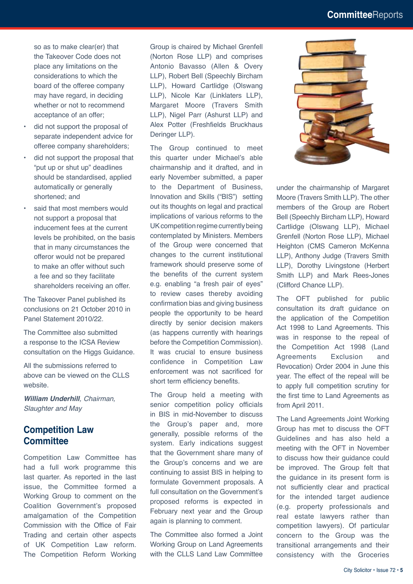so as to make clear(er) that the Takeover Code does not place any limitations on the considerations to which the board of the offeree company may have regard, in deciding whether or not to recommend acceptance of an offer;

- did not support the proposal of separate independent advice for offeree company shareholders;
- did not support the proposal that "put up or shut up" deadlines should be standardised, applied automatically or generally shortened; and
- said that most members would not support a proposal that inducement fees at the current levels be prohibited, on the basis that in many circumstances the offeror would not be prepared to make an offer without such a fee and so they facilitate shareholders receiving an offer.

The Takeover Panel published its conclusions on 21 October 2010 in Panel Statement 2010/22.

The Committee also submitted a response to the ICSA Review consultation on the Higgs Guidance.

All the submissions referred to above can be viewed on the CLLS website.

*William Underhill, Chairman, Slaughter and May*

#### **Competition Law Committee**

Competition Law Committee has had a full work programme this last quarter. As reported in the last issue, the Committee formed a Working Group to comment on the Coalition Government's proposed amalgamation of the Competition Commission with the Office of Fair Trading and certain other aspects of UK Competition Law reform. The Competition Reform Working Group is chaired by Michael Grenfell (Norton Rose LLP) and comprises Antonio Bavasso (Allen & Overy LLP), Robert Bell (Speechly Bircham LLP), Howard Cartlidge (Olswang LLP), Nicole Kar (Linklaters LLP), Margaret Moore (Travers Smith LLP), Nigel Parr (Ashurst LLP) and Alex Potter (Freshfields Bruckhaus Deringer LLP).

The Group continued to meet this quarter under Michael's able chairmanship and it drafted, and in early November submitted, a paper to the Department of Business, Innovation and Skills ("BIS") setting out its thoughts on legal and practical implications of various reforms to the UK competition regime currently being contemplated by Ministers. Members of the Group were concerned that changes to the current institutional framework should preserve some of the benefits of the current system e.g. enabling "a fresh pair of eyes" to review cases thereby avoiding confirmation bias and giving business people the opportunity to be heard directly by senior decision makers (as happens currently with hearings before the Competition Commission). It was crucial to ensure business confidence in Competition Law enforcement was not sacrificed for short term efficiency benefits.

The Group held a meeting with senior competition policy officials in BIS in mid-November to discuss the Group's paper and, more generally, possible reforms of the system. Early indications suggest that the Government share many of the Group's concerns and we are continuing to assist BIS in helping to formulate Government proposals. A full consultation on the Government's proposed reforms is expected in February next year and the Group again is planning to comment.

The Committee also formed a Joint Working Group on Land Agreements with the CLLS Land Law Committee



under the chairmanship of Margaret Moore (Travers Smith LLP). The other members of the Group are Robert Bell (Speechly Bircham LLP), Howard Cartlidge (Olswang LLP), Michael Grenfell (Norton Rose LLP), Michael Heighton (CMS Cameron McKenna LLP), Anthony Judge (Travers Smith LLP), Dorothy Livingstone (Herbert Smith LLP) and Mark Rees-Jones (Clifford Chance LLP).

The OFT published for public consultation its draft guidance on the application of the Competition Act 1998 to Land Agreements. This was in response to the repeal of the Competition Act 1998 (Land Agreements Exclusion and Revocation) Order 2004 in June this year. The effect of the repeal will be to apply full competition scrutiny for the first time to Land Agreements as from April 2011.

The Land Agreements Joint Working Group has met to discuss the OFT Guidelines and has also held a meeting with the OFT in November to discuss how their guidance could be improved. The Group felt that the guidance in its present form is not sufficiently clear and practical for the intended target audience (e.g. property professionals and real estate lawyers rather than competition lawyers). Of particular concern to the Group was the transitional arrangements and their consistency with the Groceries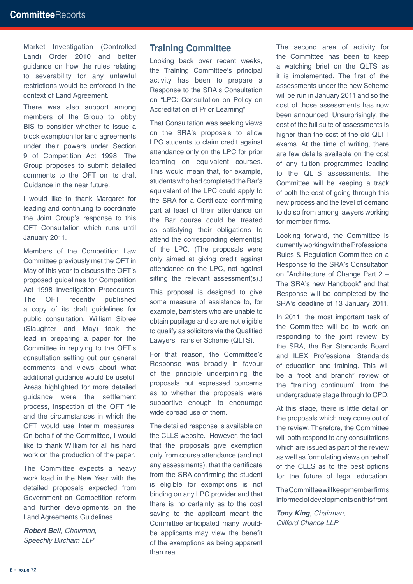#### **Committee**Reports

Market Investigation (Controlled Land) Order 2010 and better guidance on how the rules relating to severability for any unlawful restrictions would be enforced in the context of Land Agreement.

There was also support among members of the Group to lobby BIS to consider whether to issue a block exemption for land agreements under their powers under Section 9 of Competition Act 1998. The Group proposes to submit detailed comments to the OFT on its draft Guidance in the near future.

I would like to thank Margaret for leading and continuing to coordinate the Joint Group's response to this OFT Consultation which runs until January 2011.

Members of the Competition Law Committee previously met the OFT in May of this year to discuss the OFT's proposed guidelines for Competition Act 1998 Investigation Procedures. The OFT recently published a copy of its draft guidelines for public consultation. William Sibree (Slaughter and May) took the lead in preparing a paper for the Committee in replying to the OFT's consultation setting out our general comments and views about what additional guidance would be useful. Areas highlighted for more detailed guidance were the settlement process, inspection of the OFT file and the circumstances in which the OFT would use Interim measures. On behalf of the Committee, I would like to thank William for all his hard work on the production of the paper.

The Committee expects a heavy work load in the New Year with the detailed proposals expected from Government on Competition reform and further developments on the Land Agreements Guidelines.

*Robert Bell, Chairman, Speechly Bircham LLP*

#### **Training Committee**

Looking back over recent weeks, the Training Committee's principal activity has been to prepare a Response to the SRA's Consultation on "LPC: Consultation on Policy on Accreditation of Prior Learning".

That Consultation was seeking views on the SRA's proposals to allow LPC students to claim credit against attendance only on the LPC for prior learning on equivalent courses. This would mean that, for example, students who had completed the Bar's equivalent of the LPC could apply to the SRA for a Certificate confirming part at least of their attendance on the Bar course could be treated as satisfying their obligations to attend the corresponding element(s) of the LPC. (The proposals were only aimed at giving credit against attendance on the LPC, not against sitting the relevant assessment(s).)

This proposal is designed to give some measure of assistance to, for example, barristers who are unable to obtain pupilage and so are not eligible to qualify as solicitors via the Qualified Lawyers Transfer Scheme (QLTS).

For that reason, the Committee's Response was broadly in favour of the principle underpinning the proposals but expressed concerns as to whether the proposals were supportive enough to encourage wide spread use of them.

The detailed response is available on the CLLS website. However, the fact that the proposals give exemption only from course attendance (and not any assessments), that the certificate from the SRA confirming the student is eligible for exemptions is not binding on any LPC provider and that there is no certainty as to the cost saving to the applicant meant the Committee anticipated many wouldbe applicants may view the benefit of the exemptions as being apparent than real.

The second area of activity for the Committee has been to keep a watching brief on the QLTS as it is implemented. The first of the assessments under the new Scheme will be run in January 2011 and so the cost of those assessments has now been announced. Unsurprisingly, the cost of the full suite of assessments is higher than the cost of the old QLTT exams. At the time of writing, there are few details available on the cost of any tuition programmes leading to the QLTS assessments. The Committee will be keeping a track of both the cost of going through this new process and the level of demand to do so from among lawyers working for member firms.

Looking forward, the Committee is currently working with the Professional Rules & Regulation Committee on a Response to the SRA's Consultation on "Architecture of Change Part 2 – The SRA's new Handbook" and that Response will be completed by the SRA's deadline of 13 January 2011.

In 2011, the most important task of the Committee will be to work on responding to the joint review by the SRA, the Bar Standards Board and ILEX Professional Standards of education and training. This will be a "root and branch" review of the "training continuum" from the undergraduate stage through to CPD.

At this stage, there is little detail on the proposals which may come out of the review. Therefore, the Committee will both respond to any consultations which are issued as part of the review as well as formulating views on behalf of the CLLS as to the best options for the future of legal education.

The Committee will keep member firms informed of developments on this front.

*Tony King, Chairman, Clifford Chance LLP*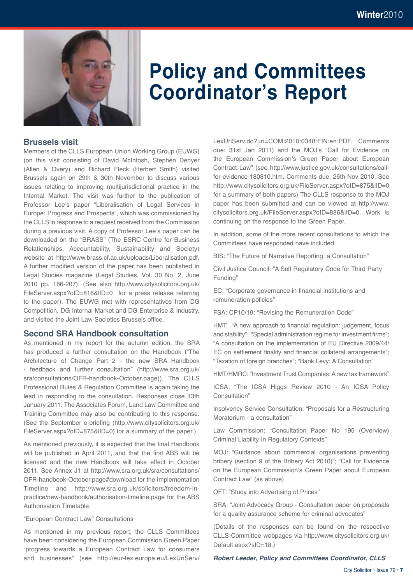

# **Policy and Committees Coordinator's Report**

#### **Brussels visit**

Members of the CLLS European Union Working Group (EUWG) (on this visit consisting of David McIntosh, Stephen Denyer (Allen & Overy) and Richard Fleck (Herbert Smith) visited Brussels again on 29th & 30th November to discuss various issues relating to improving multijurisdictional practice in the Internal Market. The visit was further to the publication of Professor Lee's paper "Liberalisation of Legal Services in Europe: Progress and Prospects", which was commissioned by the CLLS in response to a request received from the Commission during a previous visit. A copy of Professor Lee's paper can be downloaded on the "BRASS" (The ESRC Centre for Business Relationships, Accountability, Sustainability and Society) website at http://www.brass.cf.ac.uk/uploads/Liberalisation.pdf. A further modified version of the paper has been published in Legal Studies magazine (Legal Studies, Vol. 30 No. 2, June 2010 pp. 186-207). (See also http://www.citysolicitors.org.uk/ FileServer.aspx?oID=816&lID=0 for a press release referring to the paper). The EUWG met with representatives from DG Competition, DG Internal Market and DG Enterprise & Industry, and visited the Joint Law Societies Brussels office.

#### **Second SRA Handbook consultation**

As mentioned in my report for the autumn edition, the SRA has produced a further consultation on the Handbook ("The Architecture of Change Part 2 - the new SRA Handbook - feedback and further consultation" (http://www.sra.org.uk/ sra/consultations/OFR-handbook-October.page)). The CLLS Professional Rules & Regulation Committee is again taking the lead in responding to the consultation. Responses close 13th January 2011. The Associates Forum, Land Law Committee and Training Committee may also be contributing to this response. (See the September e-briefing (http://www.citysolicitors.org.uk/ FileServer.aspx?oID=875&lID=0) for a summary of the paper.)

As mentioned previously, it is expected that the final Handbook will be published in April 2011, and that the first ABS will be licensed and the new Handbook will take effect in October 2011. See Annex J1 at http://www.sra.org.uk/sra/consultations/ OFR-handbook-October.page#download for the Implementation Timeline and http://www.sra.org.uk/solicitors/freedom-inpractice/new-handbook/authorisation-timeline.page for the ABS Authorisation Timetable.

#### "European Contract Law" Consultations

As mentioned in my previous report, the CLLS Committees have been considering the European Commission Green Paper "progress towards a European Contract Law for consumers and businesses" (see http://eur-lex.europa.eu/LexUriServ/

LexUriServ.do?uri=COM:2010:0348:FIN:en:PDF. Comments due: 31st Jan 2011) and the MOJ's "Call for Evidence on the European Commission's Green Paper about European Contract Law" (see http://www.justice.gov.uk/consultations/callfor-evidence-180810.htm. Comments due: 26th Nov 2010. See http://www.citysolicitors.org.uk/FileServer.aspx?oID=875&lID=0 for a summary of both papers) The CLLS response to the MOJ paper has been submitted and can be viewed at http://www. citysolicitors.org.uk/FileServer.aspx?oID=886&lID=0. Work is continuing on the response to the Green Paper.

In addition, some of the more recent consultations to which the Committees have responded have included:

BIS: "The Future of Narrative Reporting: a Consultation"

Civil Justice Council: "A Self Regulatory Code for Third Party Funding"

EC: "Corporate governance in financial institutions and remuneration policies"

FSA: CP10/19: "Revising the Remuneration Code"

HMT: "A new approach to financial regulation: judgement, focus and stability"; "Special administration regime for investment firms"; "A consultation on the implementation of EU Directive 2009/44/ EC on settlement finality and financial collateral arrangements"; "Taxation of foreign branches"; "Bank Levy: A Consultation"

HMT/HMRC: "Investment Trust Companies: A new tax framework"

ICSA: "The ICSA Higgs Review 2010 - An ICSA Policy Consultation"

Insolvency Service Consultation: "Proposals for a Restructuring Moratorium - a consultation"

Law Commission: "Consultation Paper No 195 (Overview) Criminal Liability In Regulatory Contexts"

MOJ: "Guidance about commercial organisations preventing bribery (section 9 of the Bribery Act 2010)"; "Call for Evidence on the European Commission's Green Paper about European Contract Law" (as above)

OFT: "Study into Advertising of Prices"

SRA: "Joint Advocacy Group - Consultation paper on proposals for a quality assurance scheme for criminal advocates"

(Details of the responses can be found on the respective CLLS Committee webpages via http://www.citysolicitors.org.uk/ Default.aspx?sID=18.)

#### *Robert Leeder, Policy and Committees Coordinator, CLLS*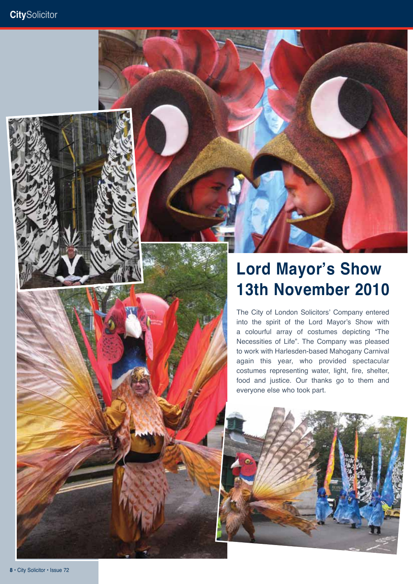### **Lord Mayor's Show 13th November 2010**

The City of London Solicitors' Company entered into the spirit of the Lord Mayor's Show with a colourful array of costumes depicting "The Necessities of Life". The Company was pleased to work with Harlesden-based Mahogany Carnival again this year, who provided spectacular costumes representing water, light, fire, shelter, food and justice. Our thanks go to them and everyone else who took part.

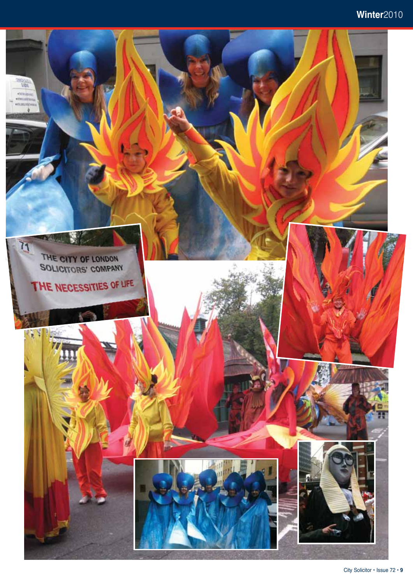

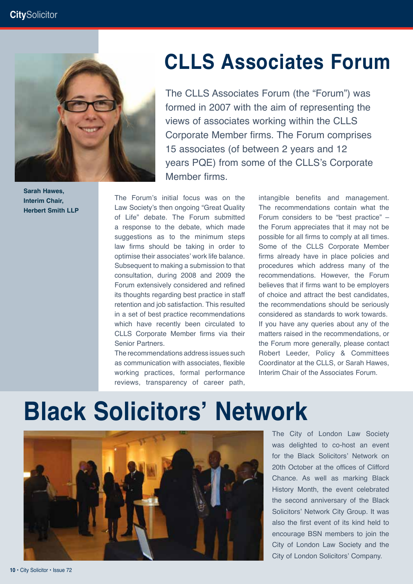

**Sarah Hawes, Interim Chair, Herbert Smith LLP** 

# **CLLS Associates Forum**

The CLLS Associates Forum (the "Forum") was formed in 2007 with the aim of representing the views of associates working within the CLLS Corporate Member firms. The Forum comprises 15 associates (of between 2 years and 12 years PQE) from some of the CLLS's Corporate Member firms.

The Forum's initial focus was on the Law Society's then ongoing "Great Quality of Life" debate. The Forum submitted a response to the debate, which made suggestions as to the minimum steps law firms should be taking in order to optimise their associates' work life balance. Subsequent to making a submission to that consultation, during 2008 and 2009 the Forum extensively considered and refined its thoughts regarding best practice in staff retention and job satisfaction. This resulted in a set of best practice recommendations which have recently been circulated to CLLS Corporate Member firms via their Senior Partners.

The recommendations address issues such as communication with associates, flexible working practices, formal performance reviews, transparency of career path,

intangible benefits and management. The recommendations contain what the Forum considers to be "best practice" – the Forum appreciates that it may not be possible for all firms to comply at all times. Some of the CLLS Corporate Member firms already have in place policies and procedures which address many of the recommendations. However, the Forum believes that if firms want to be employers of choice and attract the best candidates, the recommendations should be seriously considered as standards to work towards. If you have any queries about any of the matters raised in the recommendations, or the Forum more generally, please contact Robert Leeder, Policy & Committees Coordinator at the CLLS, or Sarah Hawes, Interim Chair of the Associates Forum.

# **Black Solicitors' Network**



The City of London Law Society was delighted to co-host an event for the Black Solicitors' Network on 20th October at the offices of Clifford Chance. As well as marking Black History Month, the event celebrated the second anniversary of the Black Solicitors' Network City Group. It was also the first event of its kind held to encourage BSN members to join the City of London Law Society and the City of London Solicitors' Company.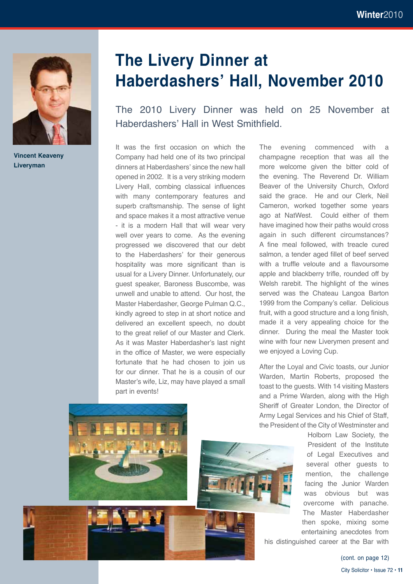

**Vincent Keaveny Liveryman**

### **The Livery Dinner at Haberdashers' Hall, November 2010**

The 2010 Livery Dinner was held on 25 November at Haberdashers' Hall in West Smithfield.

It was the first occasion on which the Company had held one of its two principal dinners at Haberdashers' since the new hall opened in 2002. It is a very striking modern Livery Hall, combing classical influences with many contemporary features and superb craftsmanship. The sense of light and space makes it a most attractive venue - it is a modern Hall that will wear very well over years to come. As the evening progressed we discovered that our debt to the Haberdashers' for their generous hospitality was more significant than is usual for a Livery Dinner. Unfortunately, our guest speaker, Baroness Buscombe, was unwell and unable to attend. Our host, the Master Haberdasher, George Pulman Q.C., kindly agreed to step in at short notice and delivered an excellent speech, no doubt to the great relief of our Master and Clerk. As it was Master Haberdasher's last night in the office of Master, we were especially fortunate that he had chosen to join us for our dinner. That he is a cousin of our Master's wife, Liz, may have played a small part in events!

The evening commenced with a champagne reception that was all the more welcome given the bitter cold of the evening. The Reverend Dr. William Beaver of the University Church, Oxford said the grace. He and our Clerk, Neil Cameron, worked together some years ago at NatWest. Could either of them have imagined how their paths would cross again in such different circumstances? A fine meal followed, with treacle cured salmon, a tender aged fillet of beef served with a truffle veloute and a flavoursome apple and blackberry trifle, rounded off by Welsh rarebit. The highlight of the wines served was the Chateau Langoa Barton 1999 from the Company's cellar. Delicious fruit, with a good structure and a long finish, made it a very appealing choice for the dinner. During the meal the Master took wine with four new Liverymen present and we enjoyed a Loving Cup.

After the Loyal and Civic toasts, our Junior Warden, Martin Roberts, proposed the toast to the guests. With 14 visiting Masters and a Prime Warden, along with the High Sheriff of Greater London, the Director of Army Legal Services and his Chief of Staff, the President of the City of Westminster and

> Holborn Law Society, the President of the Institute of Legal Executives and several other guests to mention, the challenge facing the Junior Warden was obvious but was overcome with panache. The Master Haberdasher then spoke, mixing some entertaining anecdotes from

his distinguished career at the Bar with

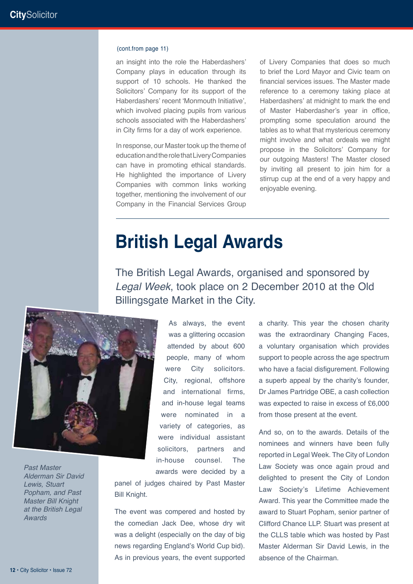#### (cont.from page 11)

an insight into the role the Haberdashers' Company plays in education through its support of 10 schools. He thanked the Solicitors' Company for its support of the Haberdashers' recent 'Monmouth Initiative', which involved placing pupils from various schools associated with the Haberdashers' in City firms for a day of work experience.

In response, our Master took up the theme of education and the role that Livery Companies can have in promoting ethical standards. He highlighted the importance of Livery Companies with common links working together, mentioning the involvement of our Company in the Financial Services Group

of Livery Companies that does so much to brief the Lord Mayor and Civic team on financial services issues. The Master made reference to a ceremony taking place at Haberdashers' at midnight to mark the end of Master Haberdasher's year in office, prompting some speculation around the tables as to what that mysterious ceremony might involve and what ordeals we might propose in the Solicitors' Company for our outgoing Masters! The Master closed by inviting all present to join him for a stirrup cup at the end of a very happy and enjoyable evening.

### **British Legal Awards**

The British Legal Awards, organised and sponsored by *Legal Week*, took place on 2 December 2010 at the Old Billingsgate Market in the City.



*Past Master Alderman Sir David Lewis, Stuart Popham, and Past Master Bill Knight at the British Legal Awards*

As always, the event was a glittering occasion attended by about 600 people, many of whom were City solicitors. City, regional, offshore and international firms, and in-house legal teams were nominated in a variety of categories, as were individual assistant solicitors, partners and in-house counsel. The awards were decided by a

panel of judges chaired by Past Master Bill Knight.

The event was compered and hosted by the comedian Jack Dee, whose dry wit was a delight (especially on the day of big news regarding England's World Cup bid). As in previous years, the event supported a charity. This year the chosen charity was the extraordinary Changing Faces, a voluntary organisation which provides support to people across the age spectrum who have a facial disfigurement. Following a superb appeal by the charity's founder, Dr James Partridge OBE, a cash collection was expected to raise in excess of £6,000 from those present at the event.

And so, on to the awards. Details of the nominees and winners have been fully reported in Legal Week. The City of London Law Society was once again proud and delighted to present the City of London Law Society's Lifetime Achievement Award. This year the Committee made the award to Stuart Popham, senior partner of Clifford Chance LLP. Stuart was present at the CLLS table which was hosted by Past Master Alderman Sir David Lewis, in the absence of the Chairman.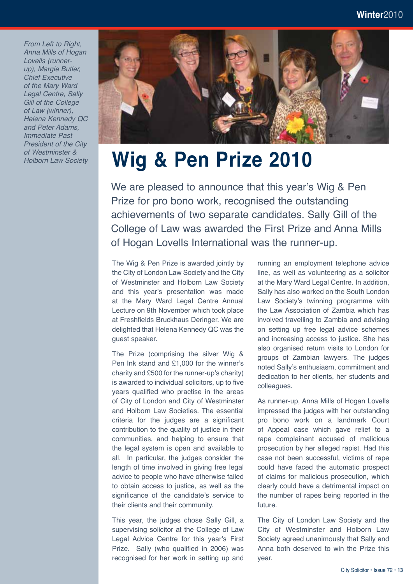*From Left to Right, Anna Mills of Hogan Lovells (runnerup), Margie Butler, Chief Executive of the Mary Ward Legal Centre, Sally Gill of the College of Law (winner), Helena Kennedy QC and Peter Adams, Immediate Past President of the City of Westminster &* 



# *Holborn Law Society* **Wig & Pen Prize 2010**

We are pleased to announce that this year's Wig & Pen Prize for pro bono work, recognised the outstanding achievements of two separate candidates. Sally Gill of the College of Law was awarded the First Prize and Anna Mills of Hogan Lovells International was the runner-up.

The Wig & Pen Prize is awarded jointly by the City of London Law Society and the City of Westminster and Holborn Law Society and this year's presentation was made at the Mary Ward Legal Centre Annual Lecture on 9th November which took place at Freshfields Bruckhaus Deringer. We are delighted that Helena Kennedy QC was the guest speaker.

The Prize (comprising the silver Wig & Pen Ink stand and £1,000 for the winner's charity and £500 for the runner-up's charity) is awarded to individual solicitors, up to five years qualified who practise in the areas of City of London and City of Westminster and Holborn Law Societies. The essential criteria for the judges are a significant contribution to the quality of justice in their communities, and helping to ensure that the legal system is open and available to all. In particular, the judges consider the length of time involved in giving free legal advice to people who have otherwise failed to obtain access to justice, as well as the significance of the candidate's service to their clients and their community.

This year, the judges chose Sally Gill, a supervising solicitor at the College of Law Legal Advice Centre for this year's First Prize. Sally (who qualified in 2006) was recognised for her work in setting up and

running an employment telephone advice line, as well as volunteering as a solicitor at the Mary Ward Legal Centre. In addition, Sally has also worked on the South London Law Society's twinning programme with the Law Association of Zambia which has involved travelling to Zambia and advising on setting up free legal advice schemes and increasing access to justice. She has also organised return visits to London for groups of Zambian lawyers. The judges noted Sally's enthusiasm, commitment and dedication to her clients, her students and colleagues.

As runner-up, Anna Mills of Hogan Lovells impressed the judges with her outstanding pro bono work on a landmark Court of Appeal case which gave relief to a rape complainant accused of malicious prosecution by her alleged rapist. Had this case not been successful, victims of rape could have faced the automatic prospect of claims for malicious prosecution, which clearly could have a detrimental impact on the number of rapes being reported in the future.

The City of London Law Society and the City of Westminster and Holborn Law Society agreed unanimously that Sally and Anna both deserved to win the Prize this year.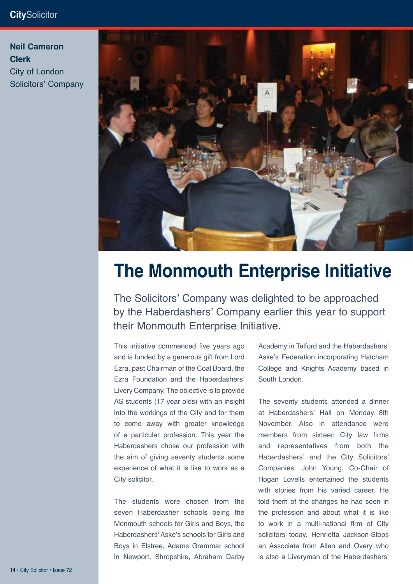#### **City**Solicitor

**Neil Cameron Clerk** City of London Solicitors' Company



### **The Monmouth Enterprise Initiative**

The Solicitors' Company was delighted to be approached by the Haberdashers' Company earlier this year to support their Monmouth Enterprise Initiative.

This initiative commenced five years ago and is funded by a generous gift from Lord Ezra, past Chairman of the Coal Board, the Ezra Foundation and the Haberdashers' Livery Company. The objective is to provide AS students (17 year olds) with an insight into the workings of the City and for them to come away with greater knowledge of a particular profession. This year the Haberdashers chose our profession with the aim of giving seventy students some experience of what it is like to work as a City solicitor.

The students were chosen from the seven Haberdasher schools being the Monmouth schools for Girls and Boys, the Haberdashers' Aske's schools for Girls and Boys in Elstree, Adams Grammar school in Newport, Shropshire, Abraham Darby

Academy in Telford and the Haberdashers' Aske's Federation incorporating Hatcham College and Knights Academy based in South London.

The seventy students attended a dinner at Haberdashers' Hall on Monday 8th November. Also in attendance were members from sixteen City law firms and representatives from both the Haberdashers' and the City Solicitors' Companies. John Young, Co-Chair of Hogan Lovells entertained the students with stories from his varied career. He told them of the changes he had seen in the profession and about what it is like to work in a multi-national firm of City solicitors today. Henrietta Jackson-Stops an Associate from Allen and Overy who is also a Liveryman of the Haberdashers'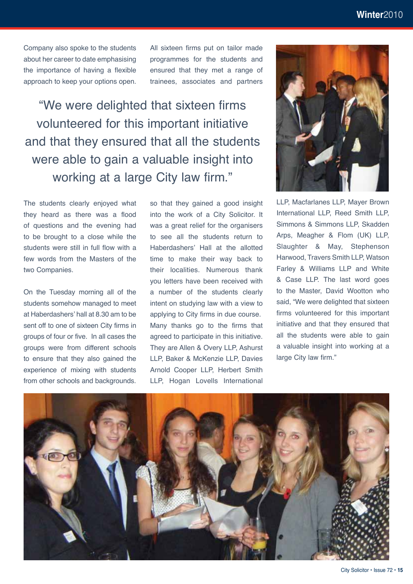Company also spoke to the students about her career to date emphasising the importance of having a flexible approach to keep your options open. All sixteen firms put on tailor made programmes for the students and ensured that they met a range of trainees, associates and partners

"We were delighted that sixteen firms volunteered for this important initiative and that they ensured that all the students were able to gain a valuable insight into working at a large City law firm."

The students clearly enjoyed what they heard as there was a flood of questions and the evening had to be brought to a close while the students were still in full flow with a few words from the Masters of the two Companies.

On the Tuesday morning all of the students somehow managed to meet at Haberdashers' hall at 8.30 am to be sent off to one of sixteen City firms in groups of four or five. In all cases the groups were from different schools to ensure that they also gained the experience of mixing with students from other schools and backgrounds. so that they gained a good insight into the work of a City Solicitor. It was a great relief for the organisers to see all the students return to Haberdashers' Hall at the allotted time to make their way back to their localities. Numerous thank you letters have been received with a number of the students clearly intent on studying law with a view to applying to City firms in due course. Many thanks go to the firms that agreed to participate in this initiative. They are Allen & Overy LLP, Ashurst LLP, Baker & McKenzie LLP, Davies Arnold Cooper LLP, Herbert Smith LLP, Hogan Lovells International



LLP, Macfarlanes LLP, Mayer Brown International LLP, Reed Smith LLP, Simmons & Simmons LLP, Skadden Arps, Meagher & Flom (UK) LLP, Slaughter & May, Stephenson Harwood, Travers Smith LLP, Watson Farley & Williams LLP and White & Case LLP. The last word goes to the Master, David Wootton who said, "We were delighted that sixteen firms volunteered for this important initiative and that they ensured that all the students were able to gain a valuable insight into working at a large City law firm."